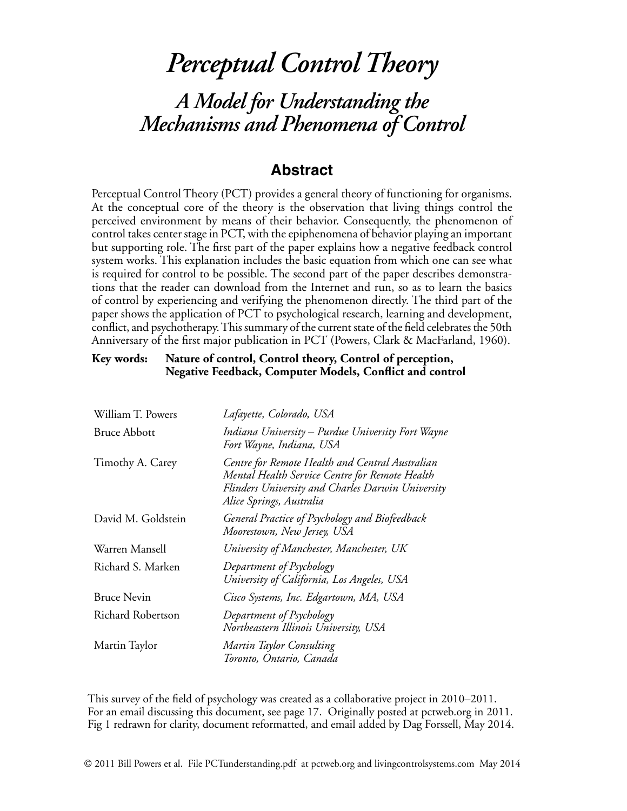# *Perceptual Control Theory A Model for Understanding the Mechanisms and Phenomena of Control*

# **Abstract**

Perceptual Control Theory (PCT) provides a general theory of functioning for organisms. At the conceptual core of the theory is the observation that living things control the perceived environment by means of their behavior. Consequently, the phenomenon of control takes center stage in PCT, with the epiphenomena of behavior playing an important but supporting role. The first part of the paper explains how a negative feedback control system works. This explanation includes the basic equation from which one can see what is required for control to be possible. The second part of the paper describes demonstrations that the reader can download from the Internet and run, so as to learn the basics of control by experiencing and verifying the phenomenon directly. The third part of the paper shows the application of PCT to psychological research, learning and development, conflict, and psychotherapy. This summary of the current state of the field celebrates the 50th Anniversary of the first major publication in PCT (Powers, Clark & MacFarland, 1960).

#### **Key words: Nature of control, Control theory, Control of perception, Negative Feedback, Computer Models, Conflict and control**

| William T. Powers   | Lafayette, Colorado, USA                                                                                                                                                           |
|---------------------|------------------------------------------------------------------------------------------------------------------------------------------------------------------------------------|
| <b>Bruce Abbott</b> | Indiana University - Purdue University Fort Wayne<br>Fort Wayne, Indiana, USA                                                                                                      |
| Timothy A. Carey    | Centre for Remote Health and Central Australian<br>Mental Health Service Centre for Remote Health<br>Flinders University and Charles Darwin University<br>Alice Springs, Australia |
| David M. Goldstein  | General Practice of Psychology and Biofeedback<br>Moorestown, New Jersey, USA                                                                                                      |
| Warren Mansell      | University of Manchester, Manchester, UK                                                                                                                                           |
| Richard S. Marken   | Department of Psychology<br>University of California, Los Angeles, USA                                                                                                             |
| <b>Bruce Nevin</b>  | Cisco Systems, Inc. Edgartown, MA, USA                                                                                                                                             |
| Richard Robertson   | Department of Psychology<br>Northeastern Illinois University, USA                                                                                                                  |
| Martin Taylor       | Martin Taylor Consulting<br>Toronto, Ontario, Canada                                                                                                                               |

This survey of the field of psychology was created as a collaborative project in 2010–2011. For an email discussing this document, see page 17. Originally posted at pctweb.org in 2011. Fig 1 redrawn for clarity, document reformatted, and email added by Dag Forssell, May 2014.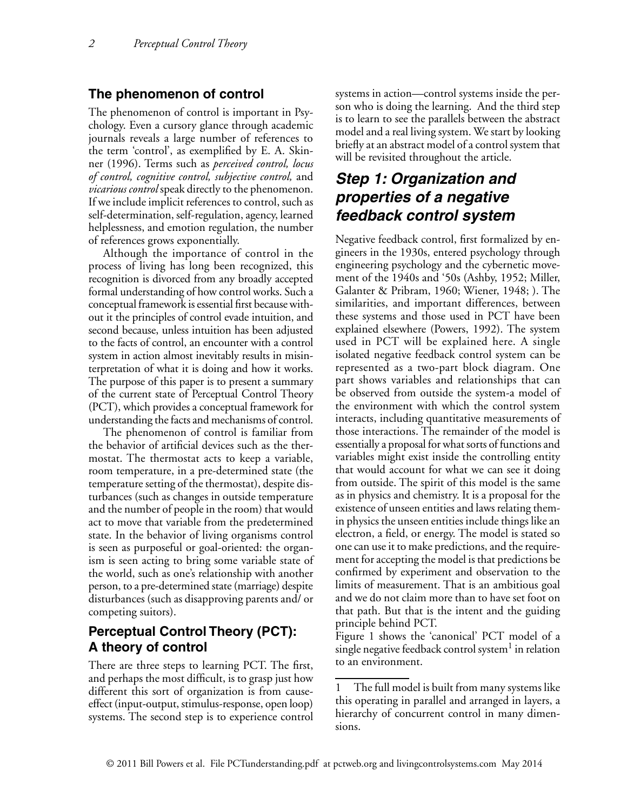#### **The phenomenon of control**

The phenomenon of control is important in Psychology. Even a cursory glance through academic journals reveals a large number of references to the term 'control', as exemplified by E. A. Skinner (1996). Terms such as *perceived control, locus of control, cognitive control, subjective control,* and *vicarious control* speak directly to the phenomenon. If we include implicit references to control, such as self-determination, self-regulation, agency, learned helplessness, and emotion regulation, the number of references grows exponentially.

Although the importance of control in the process of living has long been recognized, this recognition is divorced from any broadly accepted formal understanding of how control works. Such a conceptual framework is essential first because without it the principles of control evade intuition, and second because, unless intuition has been adjusted to the facts of control, an encounter with a control system in action almost inevitably results in misinterpretation of what it is doing and how it works. The purpose of this paper is to present a summary of the current state of Perceptual Control Theory (PCT), which provides a conceptual framework for understanding the facts and mechanisms of control.

The phenomenon of control is familiar from the behavior of artificial devices such as the thermostat. The thermostat acts to keep a variable, room temperature, in a pre-determined state (the temperature setting of the thermostat), despite disturbances (such as changes in outside temperature and the number of people in the room) that would act to move that variable from the predetermined state. In the behavior of living organisms control is seen as purposeful or goal-oriented: the organism is seen acting to bring some variable state of the world, such as one's relationship with another person, to a pre-determined state (marriage) despite disturbances (such as disapproving parents and/ or competing suitors).

# **Perceptual Control Theory (PCT): A theory of control**

There are three steps to learning PCT. The first, and perhaps the most difficult, is to grasp just how different this sort of organization is from causeeffect (input-output, stimulus-response, open loop) systems. The second step is to experience control systems in action—control systems inside the person who is doing the learning. And the third step is to learn to see the parallels between the abstract model and a real living system. We start by looking briefly at an abstract model of a control system that will be revisited throughout the article.

# *Step 1: Organization and properties of a negative feedback control system*

Negative feedback control, first formalized by engineers in the 1930s, entered psychology through engineering psychology and the cybernetic movement of the 1940s and '50s (Ashby, 1952; Miller, Galanter & Pribram, 1960; Wiener, 1948; ). The similarities, and important differences, between these systems and those used in PCT have been explained elsewhere (Powers, 1992). The system used in PCT will be explained here. A single isolated negative feedback control system can be represented as a two-part block diagram. One part shows variables and relationships that can be observed from outside the system-a model of the environment with which the control system interacts, including quantitative measurements of those interactions. The remainder of the model is essentially a proposal for what sorts of functions and variables might exist inside the controlling entity that would account for what we can see it doing from outside. The spirit of this model is the same as in physics and chemistry. It is a proposal for the existence of unseen entities and laws relating themin physics the unseen entities include things like an electron, a field, or energy. The model is stated so one can use it to make predictions, and the requirement for accepting the model is that predictions be confirmed by experiment and observation to the limits of measurement. That is an ambitious goal and we do not claim more than to have set foot on that path. But that is the intent and the guiding principle behind PCT.

Figure 1 shows the 'canonical' PCT model of a single negative feedback control system $\frac{1}{1}$  in relation to an environment.

<sup>1</sup> The full model is built from many systems like this operating in parallel and arranged in layers, a hierarchy of concurrent control in many dimensions.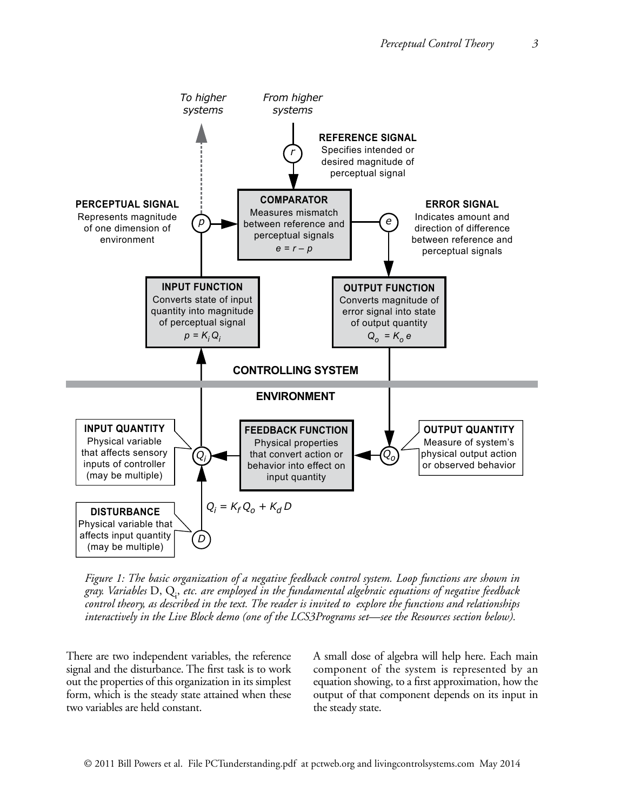

*Figure 1: The basic organization of a negative feedback control system. Loop functions are shown in gray. Variables* D, Qi , *etc. are employed in the fundamental algebraic equations of negative feedback control theory, as described in the text. The reader is invited to explore the functions and relationships interactively in the Live Block demo (one of the LCS3Programs set—see the Resources section below).*

There are two independent variables, the reference signal and the disturbance. The first task is to work out the properties of this organization in its simplest form, which is the steady state attained when these two variables are held constant.

A small dose of algebra will help here. Each main component of the system is represented by an equation showing, to a first approximation, how the output of that component depends on its input in the steady state.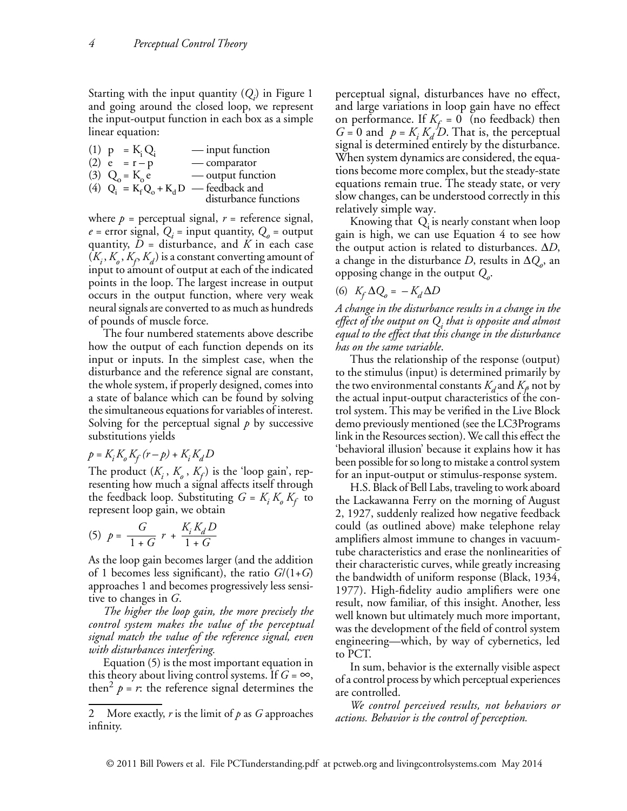Starting with the input quantity (*Qi* ) in Figure 1 and going around the closed loop, we represent the input-output function in each box as a simple linear equation:

(1)  $p = K_i Q_i$  — input function<br>
(2)  $e = r - p$  — comparator — comparator (3)  $Q_0 = K_0 e^-$  — output function (4)  $Q_i^{\sigma} = K_f^{\sigma} Q_o + K_d D$  — feedback and disturbance functions

where  $p =$  perceptual signal,  $r =$  reference signal,  $e =$  error signal,  $Q_i =$  input quantity,  $Q_o =$  output quantity,  $D =$  disturbance, and  $K$  in each case  $(K_i, K_{\rho}, K_{\rho}, K_{d})$  is a constant converting amount of input to amount of output at each of the indicated points in the loop. The largest increase in output occurs in the output function, where very weak neural signals are converted to as much as hundreds of pounds of muscle force.

The four numbered statements above describe how the output of each function depends on its input or inputs. In the simplest case, when the disturbance and the reference signal are constant, the whole system, if properly designed, comes into a state of balance which can be found by solving the simultaneous equations for variables of interest. Solving for the perceptual signal *p* by successive substitutions yields

$$
p = K_i K_o K_f (r - p) + K_i K_d D
$$

The product  $(K_i, K_a, K_f)$  is the 'loop gain', representing how much a signal affects itself through the feedback loop. Substituting  $G = K_i K_o K_f$  to represent loop gain, we obtain

(5) 
$$
p = \frac{G}{1+G} r + \frac{K_i K_d D}{1+G}
$$

As the loop gain becomes larger (and the addition of 1 becomes less significant), the ratio *G*/(1+*G*) approaches 1 and becomes progressively less sensitive to changes in *G*.

*The higher the loop gain, the more precisely the control system makes the value of the perceptual signal match the value of the reference signal, even with disturbances interfering.*

Equation (5) is the most important equation in this theory about living control systems. If  $G = \infty$ , then<sup>2</sup>  $p = r$ : the reference signal determines the perceptual signal, disturbances have no effect, and large variations in loop gain have no effect on performance. If  $K_f = 0$  (no feedback) then  $G = 0$  and  $p = K_i K_d/D$ . That is, the perceptual signal is determined entirely by the disturbance. When system dynamics are considered, the equations become more complex, but the steady-state equations remain true. The steady state, or very slow changes, can be understood correctly in this relatively simple way.

Knowing that  $Q_i$  is nearly constant when loop gain is high, we can use Equation 4 to see how the output action is related to disturbances. ∆*D*, a change in the disturbance *D*, results in  $\Delta Q_o$ , an opposing change in the output  $Q$ <sub>o</sub>.

# (6)  $K_f \Delta Q_o = -K_d \Delta D$

*A change in the disturbance results in a change in the effect of the output on Qi that is opposite and almost equal to the effect that this change in the disturbance has on the same variable*.

Thus the relationship of the response (output) to the stimulus (input) is determined primarily by the two environmental constants  $K_d$  and  $K_f$  not by the actual input-output characteristics of the control system. This may be verified in the Live Block demo previously mentioned (see the LC3Programs link in the Resources section). We call this effect the 'behavioral illusion' because it explains how it has been possible for so long to mistake a control system for an input-output or stimulus-response system.

H.S. Black of Bell Labs, traveling to work aboard the Lackawanna Ferry on the morning of August 2, 1927, suddenly realized how negative feedback could (as outlined above) make telephone relay amplifiers almost immune to changes in vacuumtube characteristics and erase the nonlinearities of their characteristic curves, while greatly increasing the bandwidth of uniform response (Black, 1934, 1977). High-fidelity audio amplifiers were one result, now familiar, of this insight. Another, less well known but ultimately much more important, was the development of the field of control system engineering—which, by way of cybernetics, led to PCT.

In sum, behavior is the externally visible aspect of a control process by which perceptual experiences are controlled.

*We control perceived results, not behaviors or actions. Behavior is the control of perception.* 

<sup>2</sup> More exactly, *r* is the limit of *p* as *G* approaches infinity.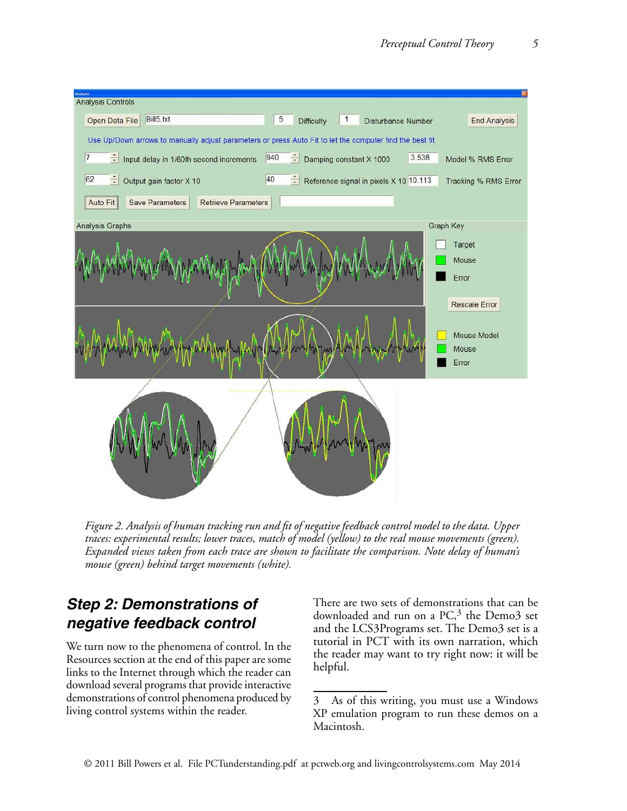

*Figure 2. Analysis of human tracking run and fit of negative feedback control model to the data. Upper traces: experimental results; lower traces, match of model (yellow) to the real mouse movements (green). Expanded views taken from each trace are shown to facilitate the comparison. Note delay of human's mouse (green) behind target movements (white).*

# *Step 2: Demonstrations of negative feedback control*

We turn now to the phenomena of control. In the Resources section at the end of this paper are some links to the Internet through which the reader can download several programs that provide interactive demonstrations of control phenomena produced by living control systems within the reader.

There are two sets of demonstrations that can be downloaded and run on a PC,<sup>3</sup> the Demo3 set and the LCS3Programs set. The Demo3 set is a tutorial in PCT with its own narration, which the reader may want to try right now: it will be helpful.

<sup>3</sup> As of this writing, you must use a Windows XP emulation program to run these demos on a Macintosh.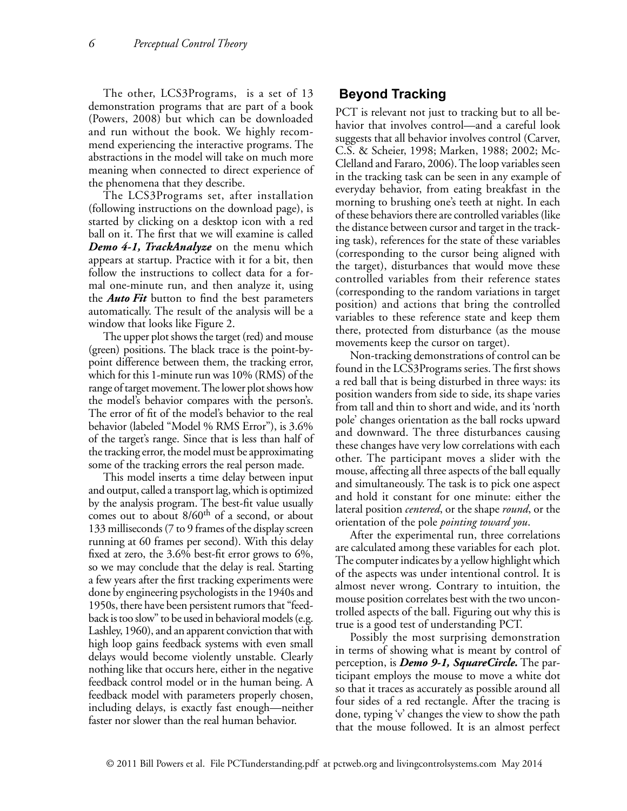The other, LCS3Programs, is a set of 13 demonstration programs that are part of a book (Powers, 2008) but which can be downloaded and run without the book. We highly recommend experiencing the interactive programs. The abstractions in the model will take on much more meaning when connected to direct experience of the phenomena that they describe.

The LCS3Programs set, after installation (following instructions on the download page), is started by clicking on a desktop icon with a red ball on it. The first that we will examine is called *Demo 4-1, TrackAnalyze* on the menu which appears at startup. Practice with it for a bit, then follow the instructions to collect data for a formal one-minute run, and then analyze it, using the *Auto Fit* button to find the best parameters automatically. The result of the analysis will be a window that looks like Figure 2.

The upper plot shows the target (red) and mouse (green) positions. The black trace is the point-bypoint difference between them, the tracking error, which for this 1-minute run was 10% (RMS) of the range of target movement. The lower plot shows how the model's behavior compares with the person's. The error of fit of the model's behavior to the real behavior (labeled "Model % RMS Error"), is 3.6% of the target's range. Since that is less than half of the tracking error, the model must be approximating some of the tracking errors the real person made.

This model inserts a time delay between input and output, called a transport lag, which is optimized by the analysis program. The best-fit value usually comes out to about 8/60<sup>th</sup> of a second, or about 133 milliseconds (7 to 9 frames of the display screen running at 60 frames per second). With this delay fixed at zero, the 3.6% best-fit error grows to 6%, so we may conclude that the delay is real. Starting a few years after the first tracking experiments were done by engineering psychologists in the 1940s and 1950s, there have been persistent rumors that "feedback is too slow" to be used in behavioral models (e.g. Lashley, 1960), and an apparent conviction that with high loop gains feedback systems with even small delays would become violently unstable. Clearly nothing like that occurs here, either in the negative feedback control model or in the human being. A feedback model with parameters properly chosen, including delays, is exactly fast enough—neither faster nor slower than the real human behavior.

#### **Beyond Tracking**

PCT is relevant not just to tracking but to all behavior that involves control—and a careful look suggests that all behavior involves control (Carver, C.S. & Scheier, 1998; Marken, 1988; 2002; Mc-Clelland and Fararo, 2006). The loop variables seen in the tracking task can be seen in any example of everyday behavior, from eating breakfast in the morning to brushing one's teeth at night. In each of these behaviors there are controlled variables (like the distance between cursor and target in the tracking task), references for the state of these variables (corresponding to the cursor being aligned with the target), disturbances that would move these controlled variables from their reference states (corresponding to the random variations in target position) and actions that bring the controlled variables to these reference state and keep them there, protected from disturbance (as the mouse movements keep the cursor on target).

Non-tracking demonstrations of control can be found in the LCS3Programs series. The first shows a red ball that is being disturbed in three ways: its position wanders from side to side, its shape varies from tall and thin to short and wide, and its 'north pole' changes orientation as the ball rocks upward and downward. The three disturbances causing these changes have very low correlations with each other. The participant moves a slider with the mouse, affecting all three aspects of the ball equally and simultaneously. The task is to pick one aspect and hold it constant for one minute: either the lateral position *centered*, or the shape *round*, or the orientation of the pole *pointing toward you*.

After the experimental run, three correlations are calculated among these variables for each plot. The computer indicates by a yellow highlight which of the aspects was under intentional control. It is almost never wrong. Contrary to intuition, the mouse position correlates best with the two uncontrolled aspects of the ball. Figuring out why this is true is a good test of understanding PCT.

Possibly the most surprising demonstration in terms of showing what is meant by control of perception, is *Demo 9-1, SquareCircle.* The participant employs the mouse to move a white dot so that it traces as accurately as possible around all four sides of a red rectangle. After the tracing is done, typing 'v' changes the view to show the path that the mouse followed. It is an almost perfect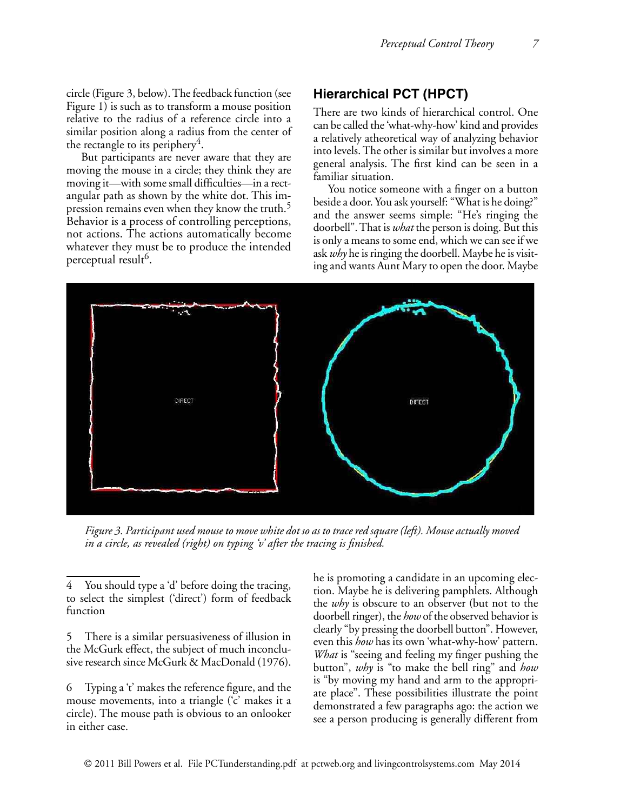circle (Figure 3, below). The feedback function (see Figure 1) is such as to transform a mouse position relative to the radius of a reference circle into a similar position along a radius from the center of the rectangle to its periphery<sup>4</sup>.

But participants are never aware that they are moving the mouse in a circle; they think they are moving it—with some small difficulties—in a rectangular path as shown by the white dot. This impression remains even when they know the truth.<sup>5</sup> Behavior is a process of controlling perceptions, not actions. The actions automatically become whatever they must be to produce the intended perceptual result<sup>6</sup>.

# **Hierarchical PCT (HPCT)**

There are two kinds of hierarchical control. One can be called the 'what-why-how' kind and provides a relatively atheoretical way of analyzing behavior into levels. The other is similar but involves a more general analysis. The first kind can be seen in a familiar situation.

You notice someone with a finger on a button beside a door. You ask yourself: "What is he doing?" and the answer seems simple: "He's ringing the doorbell". That is *what* the person is doing. But this is only a means to some end, which we can see if we ask *why* he is ringing the doorbell. Maybe he is visiting and wants Aunt Mary to open the door. Maybe



*Figure 3. Participant used mouse to move white dot so as to trace red square (left). Mouse actually moved in a circle, as revealed (right) on typing 'v' after the tracing is finished.*

5 There is a similar persuasiveness of illusion in the McGurk effect, the subject of much inconclusive research since McGurk & MacDonald (1976).

6 Typing a 't' makes the reference figure, and the mouse movements, into a triangle ('c' makes it a circle). The mouse path is obvious to an onlooker in either case.

he is promoting a candidate in an upcoming election. Maybe he is delivering pamphlets. Although the *why* is obscure to an observer (but not to the doorbell ringer), the *how* of the observed behavior is clearly "by pressing the doorbell button". However, even this *how* has its own 'what-why-how' pattern. *What* is "seeing and feeling my finger pushing the button", *why* is "to make the bell ring" and *how* is "by moving my hand and arm to the appropriate place". These possibilities illustrate the point demonstrated a few paragraphs ago: the action we see a person producing is generally different from

You should type a 'd' before doing the tracing, to select the simplest ('direct') form of feedback function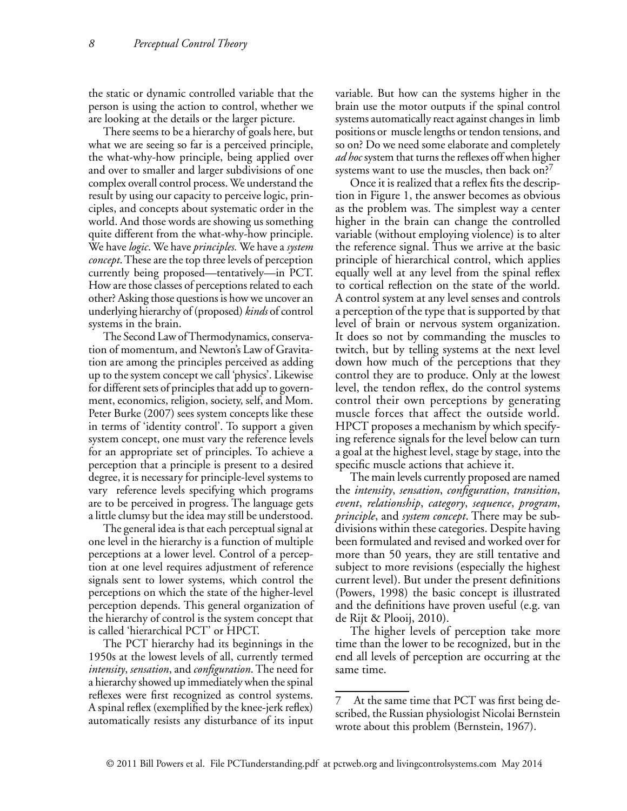the static or dynamic controlled variable that the person is using the action to control, whether we are looking at the details or the larger picture.

There seems to be a hierarchy of goals here, but what we are seeing so far is a perceived principle, the what-why-how principle, being applied over and over to smaller and larger subdivisions of one complex overall control process. We understand the result by using our capacity to perceive logic, principles, and concepts about systematic order in the world. And those words are showing us something quite different from the what-why-how principle. We have *logic*. We have *principles.* We have a *system concept*. These are the top three levels of perception currently being proposed—tentatively—in PCT. How are those classes of perceptions related to each other? Asking those questions is how we uncover an underlying hierarchy of (proposed) *kinds* of control systems in the brain.

The Second Law of Thermodynamics, conservation of momentum, and Newton's Law of Gravitation are among the principles perceived as adding up to the system concept we call 'physics'. Likewise for different sets of principles that add up to government, economics, religion, society, self, and Mom. Peter Burke (2007) sees system concepts like these in terms of 'identity control'. To support a given system concept, one must vary the reference levels for an appropriate set of principles. To achieve a perception that a principle is present to a desired degree, it is necessary for principle-level systems to vary reference levels specifying which programs are to be perceived in progress. The language gets a little clumsy but the idea may still be understood.

The general idea is that each perceptual signal at one level in the hierarchy is a function of multiple perceptions at a lower level. Control of a perception at one level requires adjustment of reference signals sent to lower systems, which control the perceptions on which the state of the higher-level perception depends. This general organization of the hierarchy of control is the system concept that is called 'hierarchical PCT' or HPCT.

The PCT hierarchy had its beginnings in the 1950s at the lowest levels of all, currently termed *intensity*, *sensation*, and *configuration*. The need for a hierarchy showed up immediately when the spinal reflexes were first recognized as control systems. A spinal reflex (exemplified by the knee-jerk reflex) automatically resists any disturbance of its input variable. But how can the systems higher in the brain use the motor outputs if the spinal control systems automatically react against changes in limb positions or muscle lengths or tendon tensions, and so on? Do we need some elaborate and completely *ad hoc* system that turns the reflexes off when higher systems want to use the muscles, then back on?

Once it is realized that a reflex fits the description in Figure 1, the answer becomes as obvious as the problem was. The simplest way a center higher in the brain can change the controlled variable (without employing violence) is to alter the reference signal. Thus we arrive at the basic principle of hierarchical control, which applies equally well at any level from the spinal reflex to cortical reflection on the state of the world. A control system at any level senses and controls a perception of the type that is supported by that level of brain or nervous system organization. It does so not by commanding the muscles to twitch, but by telling systems at the next level down how much of the perceptions that they control they are to produce. Only at the lowest level, the tendon reflex, do the control systems control their own perceptions by generating muscle forces that affect the outside world. HPCT proposes a mechanism by which specifying reference signals for the level below can turn a goal at the highest level, stage by stage, into the specific muscle actions that achieve it.

The main levels currently proposed are named the *intensity*, *sensation*, *configuration*, *transition*, *event*, *relationship*, *category*, *sequence*, *program*, *principle*, and *system concept*. There may be subdivisions within these categories. Despite having been formulated and revised and worked over for more than 50 years, they are still tentative and subject to more revisions (especially the highest current level). But under the present definitions (Powers, 1998) the basic concept is illustrated and the definitions have proven useful (e.g. van de Rijt & Plooij, 2010).

The higher levels of perception take more time than the lower to be recognized, but in the end all levels of perception are occurring at the same time.

<sup>7</sup> At the same time that PCT was first being described, the Russian physiologist Nicolai Bernstein wrote about this problem (Bernstein, 1967).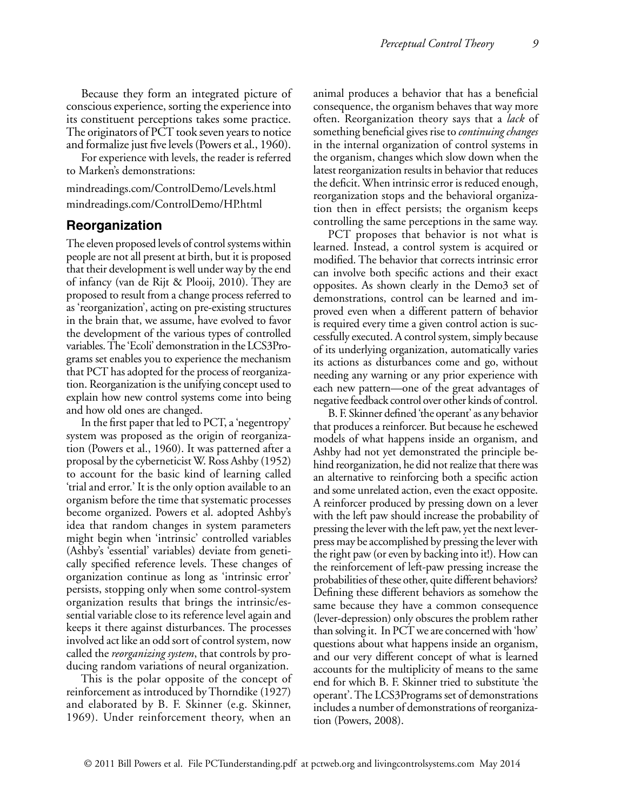Because they form an integrated picture of conscious experience, sorting the experience into its constituent perceptions takes some practice. The originators of PCT took seven years to notice and formalize just five levels (Powers et al., 1960).

For experience with levels, the reader is referred to Marken's demonstrations:

mindreadings.com/ControlDemo/Levels.html mindreadings.com/ControlDemo/HP.html

#### **Reorganization**

The eleven proposed levels of control systems within people are not all present at birth, but it is proposed that their development is well under way by the end of infancy (van de Rijt & Plooij, 2010). They are proposed to result from a change process referred to as 'reorganization', acting on pre-existing structures in the brain that, we assume, have evolved to favor the development of the various types of controlled variables.The 'Ecoli' demonstration in the LCS3Programs set enables you to experience the mechanism that PCT has adopted for the process of reorganization. Reorganization is the unifying concept used to explain how new control systems come into being and how old ones are changed.

In the first paper that led to PCT, a 'negentropy' system was proposed as the origin of reorganization (Powers et al., 1960). It was patterned after a proposal by the cyberneticist W. Ross Ashby (1952) to account for the basic kind of learning called 'trial and error.' It is the only option available to an organism before the time that systematic processes become organized. Powers et al. adopted Ashby's idea that random changes in system parameters might begin when 'intrinsic' controlled variables (Ashby's 'essential' variables) deviate from genetically specified reference levels. These changes of organization continue as long as 'intrinsic error' persists, stopping only when some control-system organization results that brings the intrinsic/essential variable close to its reference level again and keeps it there against disturbances. The processes involved act like an odd sort of control system, now called the *reorganizing system*, that controls by producing random variations of neural organization.

This is the polar opposite of the concept of reinforcement as introduced by Thorndike (1927) and elaborated by B. F. Skinner (e.g. Skinner, 1969). Under reinforcement theory, when an

animal produces a behavior that has a beneficial consequence, the organism behaves that way more often. Reorganization theory says that a *lack* of something beneficial gives rise to *continuing changes* in the internal organization of control systems in the organism, changes which slow down when the latest reorganization results in behavior that reduces the deficit. When intrinsic error is reduced enough, reorganization stops and the behavioral organization then in effect persists; the organism keeps controlling the same perceptions in the same way.

PCT proposes that behavior is not what is learned. Instead, a control system is acquired or modified. The behavior that corrects intrinsic error can involve both specific actions and their exact opposites. As shown clearly in the Demo3 set of demonstrations, control can be learned and improved even when a different pattern of behavior is required every time a given control action is successfully executed. A control system, simply because of its underlying organization, automatically varies its actions as disturbances come and go, without needing any warning or any prior experience with each new pattern—one of the great advantages of negative feedback control over other kinds of control.

B. F. Skinner defined 'the operant' as any behavior that produces a reinforcer. But because he eschewed models of what happens inside an organism, and Ashby had not yet demonstrated the principle behind reorganization, he did not realize that there was an alternative to reinforcing both a specific action and some unrelated action, even the exact opposite. A reinforcer produced by pressing down on a lever with the left paw should increase the probability of pressing the lever with the left paw, yet the next leverpress may be accomplished by pressing the lever with the right paw (or even by backing into it!). How can the reinforcement of left-paw pressing increase the probabilities of these other, quite different behaviors? Defining these different behaviors as somehow the same because they have a common consequence (lever-depression) only obscures the problem rather than solving it. In PCT we are concerned with 'how' questions about what happens inside an organism, and our very different concept of what is learned accounts for the multiplicity of means to the same end for which B. F. Skinner tried to substitute 'the operant'. The LCS3Programs set of demonstrations includes a number of demonstrations of reorganization (Powers, 2008).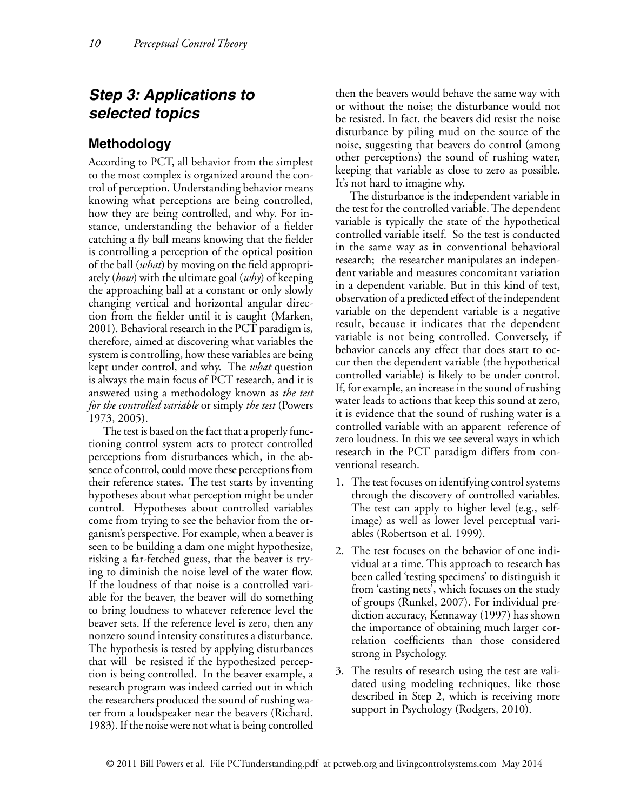# *Step 3: Applications to selected topics*

# **Methodology**

According to PCT, all behavior from the simplest to the most complex is organized around the control of perception. Understanding behavior means knowing what perceptions are being controlled, how they are being controlled, and why. For instance, understanding the behavior of a fielder catching a fly ball means knowing that the fielder is controlling a perception of the optical position of the ball (*what*) by moving on the field appropriately (*how*) with the ultimate goal (*why*) of keeping the approaching ball at a constant or only slowly changing vertical and horizontal angular direction from the fielder until it is caught (Marken, 2001). Behavioral research in the PCT paradigm is, therefore, aimed at discovering what variables the system is controlling, how these variables are being kept under control, and why. The *what* question is always the main focus of PCT research, and it is answered using a methodology known as *the test for the controlled variable* or simply *the test* (Powers 1973, 2005).

The test is based on the fact that a properly functioning control system acts to protect controlled perceptions from disturbances which, in the absence of control, could move these perceptions from their reference states. The test starts by inventing hypotheses about what perception might be under control. Hypotheses about controlled variables come from trying to see the behavior from the organism's perspective. For example, when a beaver is seen to be building a dam one might hypothesize, risking a far-fetched guess, that the beaver is trying to diminish the noise level of the water flow. If the loudness of that noise is a controlled variable for the beaver, the beaver will do something to bring loudness to whatever reference level the beaver sets. If the reference level is zero, then any nonzero sound intensity constitutes a disturbance. The hypothesis is tested by applying disturbances that will be resisted if the hypothesized perception is being controlled. In the beaver example, a research program was indeed carried out in which the researchers produced the sound of rushing water from a loudspeaker near the beavers (Richard, 1983). If the noise were not what is being controlled

then the beavers would behave the same way with or without the noise; the disturbance would not be resisted. In fact, the beavers did resist the noise disturbance by piling mud on the source of the noise, suggesting that beavers do control (among other perceptions) the sound of rushing water, keeping that variable as close to zero as possible. It's not hard to imagine why.

The disturbance is the independent variable in the test for the controlled variable. The dependent variable is typically the state of the hypothetical controlled variable itself. So the test is conducted in the same way as in conventional behavioral research; the researcher manipulates an independent variable and measures concomitant variation in a dependent variable. But in this kind of test, observation of a predicted effect of the independent variable on the dependent variable is a negative result, because it indicates that the dependent variable is not being controlled. Conversely, if behavior cancels any effect that does start to occur then the dependent variable (the hypothetical controlled variable) is likely to be under control. If, for example, an increase in the sound of rushing water leads to actions that keep this sound at zero, it is evidence that the sound of rushing water is a controlled variable with an apparent reference of zero loudness. In this we see several ways in which research in the PCT paradigm differs from conventional research.

- 1. The test focuses on identifying control systems through the discovery of controlled variables. The test can apply to higher level (e.g., selfimage) as well as lower level perceptual variables (Robertson et al. 1999).
- 2. The test focuses on the behavior of one individual at a time. This approach to research has been called 'testing specimens' to distinguish it from 'casting nets', which focuses on the study of groups (Runkel, 2007). For individual prediction accuracy, Kennaway (1997) has shown the importance of obtaining much larger correlation coefficients than those considered strong in Psychology.
- 3. The results of research using the test are validated using modeling techniques, like those described in Step 2, which is receiving more support in Psychology (Rodgers, 2010).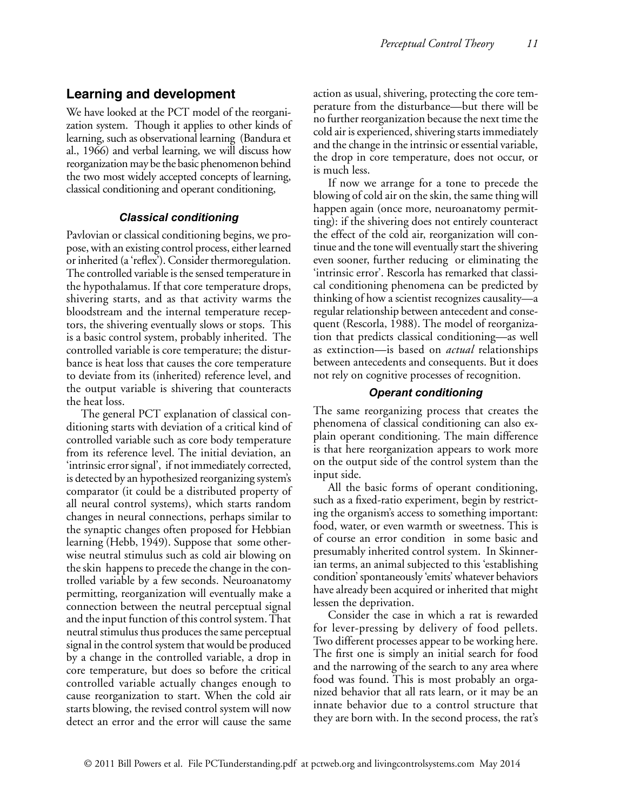#### **Learning and development**

We have looked at the PCT model of the reorganization system. Though it applies to other kinds of learning, such as observational learning (Bandura et al., 1966) and verbal learning, we will discuss how reorganization may be the basic phenomenon behind the two most widely accepted concepts of learning, classical conditioning and operant conditioning,

#### *Classical conditioning*

Pavlovian or classical conditioning begins, we propose, with an existing control process, either learned or inherited (a 'reflex'). Consider thermoregulation. The controlled variable is the sensed temperature in the hypothalamus. If that core temperature drops, shivering starts, and as that activity warms the bloodstream and the internal temperature receptors, the shivering eventually slows or stops. This is a basic control system, probably inherited. The controlled variable is core temperature; the disturbance is heat loss that causes the core temperature to deviate from its (inherited) reference level, and the output variable is shivering that counteracts the heat loss.

The general PCT explanation of classical conditioning starts with deviation of a critical kind of controlled variable such as core body temperature from its reference level. The initial deviation, an 'intrinsic error signal', if not immediately corrected, is detected by an hypothesized reorganizing system's comparator (it could be a distributed property of all neural control systems), which starts random changes in neural connections, perhaps similar to the synaptic changes often proposed for Hebbian learning (Hebb, 1949). Suppose that some otherwise neutral stimulus such as cold air blowing on the skin happens to precede the change in the controlled variable by a few seconds. Neuroanatomy permitting, reorganization will eventually make a connection between the neutral perceptual signal and the input function of this control system. That neutral stimulus thus produces the same perceptual signal in the control system that would be produced by a change in the controlled variable, a drop in core temperature, but does so before the critical controlled variable actually changes enough to cause reorganization to start. When the cold air starts blowing, the revised control system will now detect an error and the error will cause the same

action as usual, shivering, protecting the core temperature from the disturbance—but there will be no further reorganization because the next time the cold air is experienced, shivering starts immediately and the change in the intrinsic or essential variable, the drop in core temperature, does not occur, or is much less.

If now we arrange for a tone to precede the blowing of cold air on the skin, the same thing will happen again (once more, neuroanatomy permitting): if the shivering does not entirely counteract the effect of the cold air, reorganization will continue and the tone will eventually start the shivering even sooner, further reducing or eliminating the 'intrinsic error'. Rescorla has remarked that classical conditioning phenomena can be predicted by thinking of how a scientist recognizes causality—a regular relationship between antecedent and consequent (Rescorla, 1988). The model of reorganization that predicts classical conditioning—as well as extinction—is based on *actual* relationships between antecedents and consequents. But it does not rely on cognitive processes of recognition.

#### *Operant conditioning*

The same reorganizing process that creates the phenomena of classical conditioning can also explain operant conditioning. The main difference is that here reorganization appears to work more on the output side of the control system than the input side.

All the basic forms of operant conditioning, such as a fixed-ratio experiment, begin by restricting the organism's access to something important: food, water, or even warmth or sweetness. This is of course an error condition in some basic and presumably inherited control system. In Skinnerian terms, an animal subjected to this 'establishing condition' spontaneously 'emits' whatever behaviors have already been acquired or inherited that might lessen the deprivation.

Consider the case in which a rat is rewarded for lever-pressing by delivery of food pellets. Two different processes appear to be working here. The first one is simply an initial search for food and the narrowing of the search to any area where food was found. This is most probably an organized behavior that all rats learn, or it may be an innate behavior due to a control structure that they are born with. In the second process, the rat's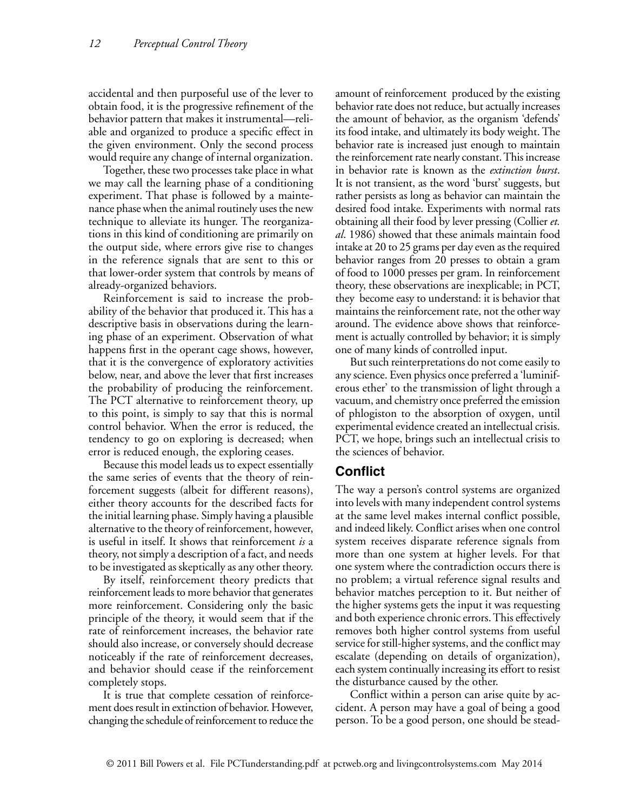accidental and then purposeful use of the lever to obtain food, it is the progressive refinement of the behavior pattern that makes it instrumental—reliable and organized to produce a specific effect in the given environment. Only the second process would require any change of internal organization.

Together, these two processes take place in what we may call the learning phase of a conditioning experiment. That phase is followed by a maintenance phase when the animal routinely uses the new technique to alleviate its hunger. The reorganizations in this kind of conditioning are primarily on the output side, where errors give rise to changes in the reference signals that are sent to this or that lower-order system that controls by means of already-organized behaviors.

Reinforcement is said to increase the probability of the behavior that produced it. This has a descriptive basis in observations during the learning phase of an experiment. Observation of what happens first in the operant cage shows, however, that it is the convergence of exploratory activities below, near, and above the lever that first increases the probability of producing the reinforcement. The PCT alternative to reinforcement theory, up to this point, is simply to say that this is normal control behavior. When the error is reduced, the tendency to go on exploring is decreased; when error is reduced enough, the exploring ceases.

Because this model leads us to expect essentially the same series of events that the theory of reinforcement suggests (albeit for different reasons), either theory accounts for the described facts for the initial learning phase. Simply having a plausible alternative to the theory of reinforcement, however, is useful in itself. It shows that reinforcement *is* a theory, not simply a description of a fact, and needs to be investigated as skeptically as any other theory.

By itself, reinforcement theory predicts that reinforcement leads to more behavior that generates more reinforcement. Considering only the basic principle of the theory, it would seem that if the rate of reinforcement increases, the behavior rate should also increase, or conversely should decrease noticeably if the rate of reinforcement decreases, and behavior should cease if the reinforcement completely stops.

It is true that complete cessation of reinforcement does result in extinction of behavior. However, changing the schedule of reinforcement to reduce the amount of reinforcement produced by the existing behavior rate does not reduce, but actually increases the amount of behavior, as the organism 'defends' its food intake, and ultimately its body weight. The behavior rate is increased just enough to maintain the reinforcement rate nearly constant. This increase in behavior rate is known as the *extinction burst*. It is not transient, as the word 'burst' suggests, but rather persists as long as behavior can maintain the desired food intake. Experiments with normal rats obtaining all their food by lever pressing (Collier *et. al*. 1986) showed that these animals maintain food intake at 20 to 25 grams per day even as the required behavior ranges from 20 presses to obtain a gram of food to 1000 presses per gram. In reinforcement theory, these observations are inexplicable; in PCT, they become easy to understand: it is behavior that maintains the reinforcement rate, not the other way around. The evidence above shows that reinforcement is actually controlled by behavior; it is simply one of many kinds of controlled input.

But such reinterpretations do not come easily to any science. Even physics once preferred a 'luminiferous ether' to the transmission of light through a vacuum, and chemistry once preferred the emission of phlogiston to the absorption of oxygen, until experimental evidence created an intellectual crisis. PCT, we hope, brings such an intellectual crisis to the sciences of behavior.

## **Conflict**

The way a person's control systems are organized into levels with many independent control systems at the same level makes internal conflict possible, and indeed likely. Conflict arises when one control system receives disparate reference signals from more than one system at higher levels. For that one system where the contradiction occurs there is no problem; a virtual reference signal results and behavior matches perception to it. But neither of the higher systems gets the input it was requesting and both experience chronic errors. This effectively removes both higher control systems from useful service for still-higher systems, and the conflict may escalate (depending on details of organization), each system continually increasing its effort to resist the disturbance caused by the other.

Conflict within a person can arise quite by accident. A person may have a goal of being a good person. To be a good person, one should be stead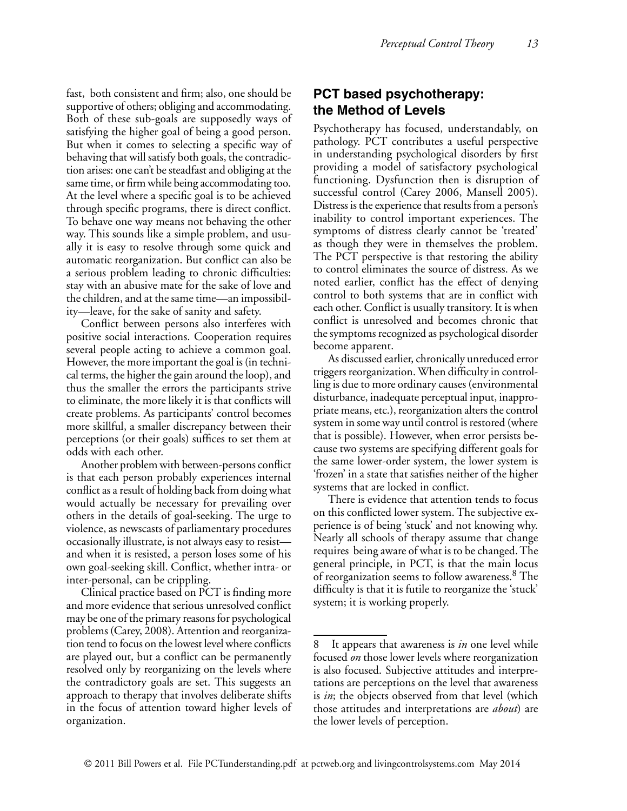fast, both consistent and firm; also, one should be supportive of others; obliging and accommodating. Both of these sub-goals are supposedly ways of satisfying the higher goal of being a good person. But when it comes to selecting a specific way of behaving that will satisfy both goals, the contradiction arises: one can't be steadfast and obliging at the same time, or firm while being accommodating too. At the level where a specific goal is to be achieved through specific programs, there is direct conflict. To behave one way means not behaving the other way. This sounds like a simple problem, and usually it is easy to resolve through some quick and automatic reorganization. But conflict can also be a serious problem leading to chronic difficulties: stay with an abusive mate for the sake of love and the children, and at the same time—an impossibility—leave, for the sake of sanity and safety.

Conflict between persons also interferes with positive social interactions. Cooperation requires several people acting to achieve a common goal. However, the more important the goal is (in technical terms, the higher the gain around the loop), and thus the smaller the errors the participants strive to eliminate, the more likely it is that conflicts will create problems. As participants' control becomes more skillful, a smaller discrepancy between their perceptions (or their goals) suffices to set them at odds with each other.

Another problem with between-persons conflict is that each person probably experiences internal conflict as a result of holding back from doing what would actually be necessary for prevailing over others in the details of goal-seeking. The urge to violence, as newscasts of parliamentary procedures occasionally illustrate, is not always easy to resist and when it is resisted, a person loses some of his own goal-seeking skill. Conflict, whether intra- or inter-personal, can be crippling.

Clinical practice based on PCT is finding more and more evidence that serious unresolved conflict may be one of the primary reasons for psychological problems (Carey, 2008). Attention and reorganization tend to focus on the lowest level where conflicts are played out, but a conflict can be permanently resolved only by reorganizing on the levels where the contradictory goals are set. This suggests an approach to therapy that involves deliberate shifts in the focus of attention toward higher levels of organization.

## **PCT based psychotherapy: the Method of Levels**

Psychotherapy has focused, understandably, on pathology. PCT contributes a useful perspective in understanding psychological disorders by first providing a model of satisfactory psychological functioning. Dysfunction then is disruption of successful control (Carey 2006, Mansell 2005). Distress is the experience that results from a person's inability to control important experiences. The symptoms of distress clearly cannot be 'treated' as though they were in themselves the problem. The PCT perspective is that restoring the ability to control eliminates the source of distress. As we noted earlier, conflict has the effect of denying control to both systems that are in conflict with each other. Conflict is usually transitory. It is when conflict is unresolved and becomes chronic that the symptoms recognized as psychological disorder become apparent.

As discussed earlier, chronically unreduced error triggers reorganization. When difficulty in controlling is due to more ordinary causes (environmental disturbance, inadequate perceptual input, inappropriate means, etc.), reorganization alters the control system in some way until control is restored (where that is possible). However, when error persists because two systems are specifying different goals for the same lower-order system, the lower system is 'frozen' in a state that satisfies neither of the higher systems that are locked in conflict.

There is evidence that attention tends to focus on this conflicted lower system. The subjective experience is of being 'stuck' and not knowing why. Nearly all schools of therapy assume that change requires being aware of what is to be changed. The general principle, in PCT, is that the main locus of reorganization seems to follow awareness.<sup>8</sup> The difficulty is that it is futile to reorganize the 'stuck' system; it is working properly.

<sup>8</sup> It appears that awareness is *in* one level while focused *on* those lower levels where reorganization is also focused. Subjective attitudes and interpretations are perceptions on the level that awareness is *in*; the objects observed from that level (which those attitudes and interpretations are *about*) are the lower levels of perception.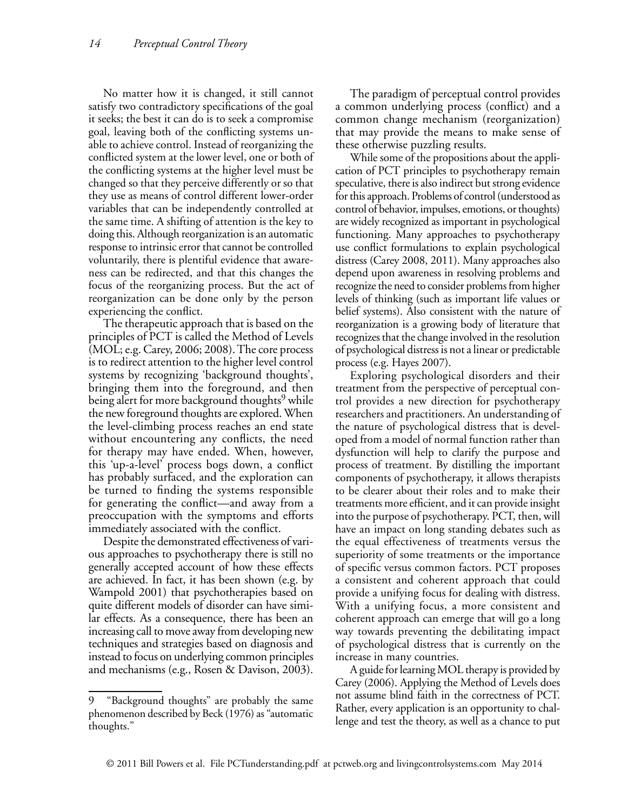No matter how it is changed, it still cannot satisfy two contradictory specifications of the goal it seeks; the best it can do is to seek a compromise goal, leaving both of the conflicting systems unable to achieve control. Instead of reorganizing the conflicted system at the lower level, one or both of the conflicting systems at the higher level must be changed so that they perceive differently or so that they use as means of control different lower-order variables that can be independently controlled at the same time. A shifting of attention is the key to doing this. Although reorganization is an automatic response to intrinsic error that cannot be controlled voluntarily, there is plentiful evidence that awareness can be redirected, and that this changes the focus of the reorganizing process. But the act of reorganization can be done only by the person experiencing the conflict.

The therapeutic approach that is based on the principles of PCT is called the Method of Levels (MOL; e.g. Carey, 2006; 2008). The core process is to redirect attention to the higher level control systems by recognizing 'background thoughts', bringing them into the foreground, and then being alert for more background thoughts<sup>9</sup> while the new foreground thoughts are explored. When the level-climbing process reaches an end state without encountering any conflicts, the need for therapy may have ended. When, however, this 'up-a-level' process bogs down, a conflict has probably surfaced, and the exploration can be turned to finding the systems responsible for generating the conflict—and away from a preoccupation with the symptoms and efforts immediately associated with the conflict.

Despite the demonstrated effectiveness of various approaches to psychotherapy there is still no generally accepted account of how these effects are achieved. In fact, it has been shown (e.g. by Wampold 2001) that psychotherapies based on quite different models of disorder can have similar effects. As a consequence, there has been an increasing call to move away from developing new techniques and strategies based on diagnosis and instead to focus on underlying common principles and mechanisms (e.g., Rosen & Davison, 2003).

The paradigm of perceptual control provides a common underlying process (conflict) and a common change mechanism (reorganization) that may provide the means to make sense of these otherwise puzzling results.

While some of the propositions about the application of PCT principles to psychotherapy remain speculative, there is also indirect but strong evidence for this approach. Problems of control (understood as control of behavior, impulses, emotions, or thoughts) are widely recognized as important in psychological functioning. Many approaches to psychotherapy use conflict formulations to explain psychological distress (Carey 2008, 2011). Many approaches also depend upon awareness in resolving problems and recognize the need to consider problems from higher levels of thinking (such as important life values or belief systems). Also consistent with the nature of reorganization is a growing body of literature that recognizes that the change involved in the resolution of psychological distress is not a linear or predictable process (e.g. Hayes 2007).

Exploring psychological disorders and their treatment from the perspective of perceptual control provides a new direction for psychotherapy researchers and practitioners. An understanding of the nature of psychological distress that is developed from a model of normal function rather than dysfunction will help to clarify the purpose and process of treatment. By distilling the important components of psychotherapy, it allows therapists to be clearer about their roles and to make their treatments more efficient, and it can provide insight into the purpose of psychotherapy. PCT, then, will have an impact on long standing debates such as the equal effectiveness of treatments versus the superiority of some treatments or the importance of specific versus common factors. PCT proposes a consistent and coherent approach that could provide a unifying focus for dealing with distress. With a unifying focus, a more consistent and coherent approach can emerge that will go a long way towards preventing the debilitating impact of psychological distress that is currently on the increase in many countries.

A guide for learning MOL therapy is provided by Carey (2006). Applying the Method of Levels does not assume blind faith in the correctness of PCT. Rather, every application is an opportunity to challenge and test the theory, as well as a chance to put

<sup>9 &</sup>quot;Background thoughts" are probably the same phenomenon described by Beck (1976) as "automatic thoughts."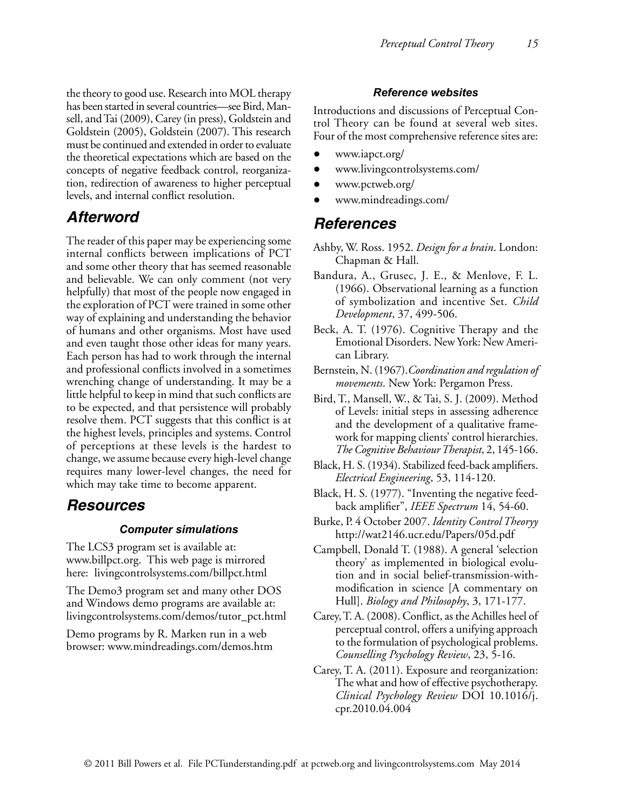the theory to good use. Research into MOL therapy has been started in several countries—see Bird, Mansell, and Tai (2009), Carey (in press), Goldstein and Goldstein (2005), Goldstein (2007). This research must be continued and extended in order to evaluate the theoretical expectations which are based on the concepts of negative feedback control, reorganization, redirection of awareness to higher perceptual levels, and internal conflict resolution.

# *Afterword*

The reader of this paper may be experiencing some internal conflicts between implications of PCT and some other theory that has seemed reasonable and believable. We can only comment (not very helpfully) that most of the people now engaged in the exploration of PCT were trained in some other way of explaining and understanding the behavior of humans and other organisms. Most have used and even taught those other ideas for many years. Each person has had to work through the internal and professional conflicts involved in a sometimes wrenching change of understanding. It may be a little helpful to keep in mind that such conflicts are to be expected, and that persistence will probably resolve them. PCT suggests that this conflict is at the highest levels, principles and systems. Control of perceptions at these levels is the hardest to change, we assume because every high-level change requires many lower-level changes, the need for which may take time to become apparent.

# *Resources*

#### *Computer simulations*

The LCS3 program set is available at: www.billpct.org. This web page is mirrored here: livingcontrolsystems.com/billpct.html

The Demo3 program set and many other DOS and Windows demo programs are available at: livingcontrolsystems.com/demos/tutor\_pct.html

Demo programs by R. Marken run in a web browser: www.mindreadings.com/demos.htm

#### *Reference websites*

Introductions and discussions of Perceptual Control Theory can be found at several web sites. Four of the most comprehensive reference sites are:

- www.iapct.org/
- www.livingcontrolsystems.com/
- www.pctweb.org/
- www.mindreadings.com/

# *References*

- Ashby, W. Ross. 1952. *Design for a brain*. London: Chapman & Hall.
- Bandura, A., Grusec, J. E., & Menlove, F. L. (1966). Observational learning as a function of symbolization and incentive Set. *Child Development*, 37, 499-506.
- Beck, A. T. (1976). Cognitive Therapy and the Emotional Disorders. New York: New American Library.
- Bernstein, N. (1967).*Coordination and regulation of movements*. New York: Pergamon Press.
- Bird, T., Mansell, W., & Tai, S. J. (2009). Method of Levels: initial steps in assessing adherence and the development of a qualitative framework for mapping clients' control hierarchies. *The Cognitive Behaviour Therapist*, 2, 145-166.
- Black, H. S. (1934). Stabilized feed-back amplifiers. *Electrical Engineering*, 53, 114-120.
- Black, H. S. (1977). "Inventing the negative feedback amplifier", *IEEE Spectrum* 14, 54-60.
- Burke, P. 4 October 2007. *Identity Control Theoryy* http://wat2146.ucr.edu/Papers/05d.pdf
- Campbell, Donald T. (1988). A general 'selection theory' as implemented in biological evolution and in social belief-transmission-withmodification in science [A commentary on Hull]. *Biology and Philosophy*, 3, 171-177.
- Carey, T. A. (2008). Conflict, as the Achilles heel of perceptual control, offers a unifying approach to the formulation of psychological problems. *Counselling Psychology Review*, 23, 5-16.
- Carey, T. A. (2011). Exposure and reorganization: The what and how of effective psychotherapy. *Clinical Psychology Review* DOI 10.1016/j. cpr.2010.04.004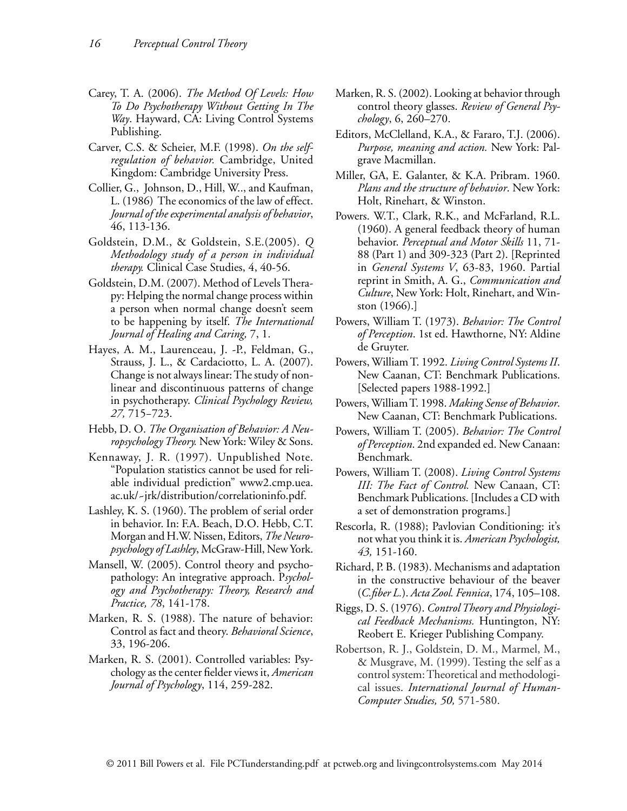- Carey, T. A. (2006). *The Method Of Levels: How To Do Psychotherapy Without Getting In The Way*. Hayward, CA: Living Control Systems Publishing.
- Carver, C.S. & Scheier, M.F. (1998). *On the selfregulation of behavior.* Cambridge, United Kingdom: Cambridge University Press.
- Collier, G., Johnson, D., Hill, W.., and Kaufman, L. (1986) The economics of the law of effect. *Journal of the experimental analysis of behavior*, 46, 113-136.
- Goldstein, D.M., & Goldstein, S.E.(2005). *Q Methodology study of a person in individual therapy.* Clinical Case Studies, 4, 40-56.
- Goldstein, D.M. (2007). Method of Levels Therapy: Helping the normal change process within a person when normal change doesn't seem to be happening by itself. *The International Journal of Healing and Caring,* 7, 1.
- Hayes, A. M., Laurenceau, J. -P., Feldman, G., Strauss, J. L., & Cardaciotto, L. A. (2007). Change is not always linear: The study of nonlinear and discontinuous patterns of change in psychotherapy. *Clinical Psychology Review, 27,* 715−723.
- Hebb, D. O. *The Organisation of Behavior: A Neuropsychology Theory.* New York: Wiley & Sons.
- Kennaway, J. R. (1997). Unpublished Note. "Population statistics cannot be used for reliable individual prediction" www2.cmp.uea. ac.uk/~jrk/distribution/correlationinfo.pdf.
- Lashley, K. S. (1960). The problem of serial order in behavior. In: F.A. Beach, D.O. Hebb, C.T. Morgan and H.W. Nissen, Editors, *The Neuropsychology of Lashley*, McGraw-Hill, New York.
- Mansell, W. (2005). Control theory and psychopathology: An integrative approach. P*sychology and Psychotherapy: Theory, Research and Practice, 78*, 141-178.
- Marken, R. S. (1988). The nature of behavior: Control as fact and theory. *Behavioral Science*, 33, 196-206.
- Marken, R. S. (2001). Controlled variables: Psychology as the center fielder views it, *American Journal of Psychology*, 114, 259-282.
- Marken, R. S. (2002). Looking at behavior through control theory glasses. *Review of General Psychology*, 6, 260–270.
- Editors, McClelland, K.A., & Fararo, T.J. (2006). *Purpose, meaning and action.* New York: Palgrave Macmillan.
- Miller, GA, E. Galanter, & K.A. Pribram. 1960. *Plans and the structure of behavior*. New York: Holt, Rinehart, & Winston.
- Powers. W.T., Clark, R.K., and McFarland, R.L. (1960). A general feedback theory of human behavior. *Perceptual and Motor Skills* 11, 71- 88 (Part 1) and 309-323 (Part 2). [Reprinted in *General Systems V*, 63-83, 1960. Partial reprint in Smith, A. G., *Communication and Culture*, New York: Holt, Rinehart, and Winston (1966).]
- Powers, William T. (1973). *Behavior: The Control of Perception*. 1st ed. Hawthorne, NY: Aldine de Gruyter.
- Powers, William T. 1992. *Living Control Systems II*. New Caanan, CT: Benchmark Publications. [Selected papers 1988-1992.]
- Powers, William T. 1998. *Making Sense of Behavior*. New Caanan, CT: Benchmark Publications.
- Powers, William T. (2005). *Behavior: The Control of Perception*. 2nd expanded ed. New Canaan: Benchmark.
- Powers, William T. (2008). *Living Control Systems III: The Fact of Control.* New Canaan, CT: Benchmark Publications. [Includes a CD with a set of demonstration programs.]
- Rescorla, R. (1988); Pavlovian Conditioning: it's not what you think it is. *American Psychologist, 43,* 151-160.
- Richard, P. B. (1983). Mechanisms and adaptation in the constructive behaviour of the beaver (*C.fiber L.*). *Acta Zool. Fennica*, 174, 105–108.
- Riggs, D. S. (1976). *Control Theory and Physiological Feedback Mechanisms.* Huntington, NY: Reobert E. Krieger Publishing Company.
- Robertson, R. J., Goldstein, D. M., Marmel, M., & Musgrave, M. (1999). Testing the self as a control system: Theoretical and methodological issues. *International Journal of Human-Computer Studies, 50,* 571-580.